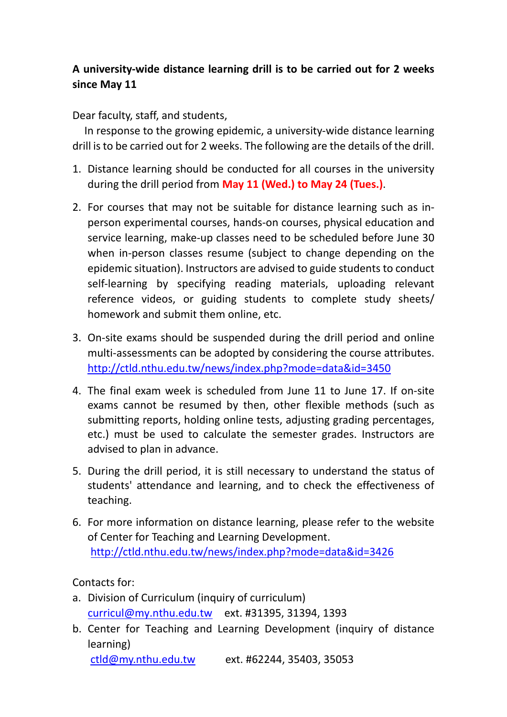## **A university‐wide distance learning drill is to be carried out for 2 weeks since May 11**

Dear faculty, staff, and students,

In response to the growing epidemic, a university-wide distance learning drill is to be carried out for 2 weeks. The following are the details of the drill.

- 1. Distance learning should be conducted for all courses in the university during the drill period from **May 11 (Wed.) to May 24 (Tues.)**.
- 2. For courses that may not be suitable for distance learning such as in‐ person experimental courses, hands‐on courses, physical education and service learning, make-up classes need to be scheduled before June 30 when in-person classes resume (subject to change depending on the epidemic situation). Instructors are advised to guide students to conduct self-learning by specifying reading materials, uploading relevant reference videos, or guiding students to complete study sheets/ homework and submit them online, etc.
- 3. On‐site exams should be suspended during the drill period and online multi-assessments can be adopted by considering the course attributes. http://ctld.nthu.edu.tw/news/index.php?mode=data&id=3450
- 4. The final exam week is scheduled from June 11 to June 17. If on‐site exams cannot be resumed by then, other flexible methods (such as submitting reports, holding online tests, adjusting grading percentages, etc.) must be used to calculate the semester grades. Instructors are advised to plan in advance.
- 5. During the drill period, it is still necessary to understand the status of students' attendance and learning, and to check the effectiveness of teaching.
- 6. For more information on distance learning, please refer to the website of Center for Teaching and Learning Development. http://ctld.nthu.edu.tw/news/index.php?mode=data&id=3426

Contacts for:

- a. Division of Curriculum (inquiry of curriculum) curricul@my.nthu.edu.tw ext. #31395, 31394, 1393
- b. Center for Teaching and Learning Development (inquiry of distance learning)

ctld@my.nthu.edu.tw ext. #62244, 35403, 35053